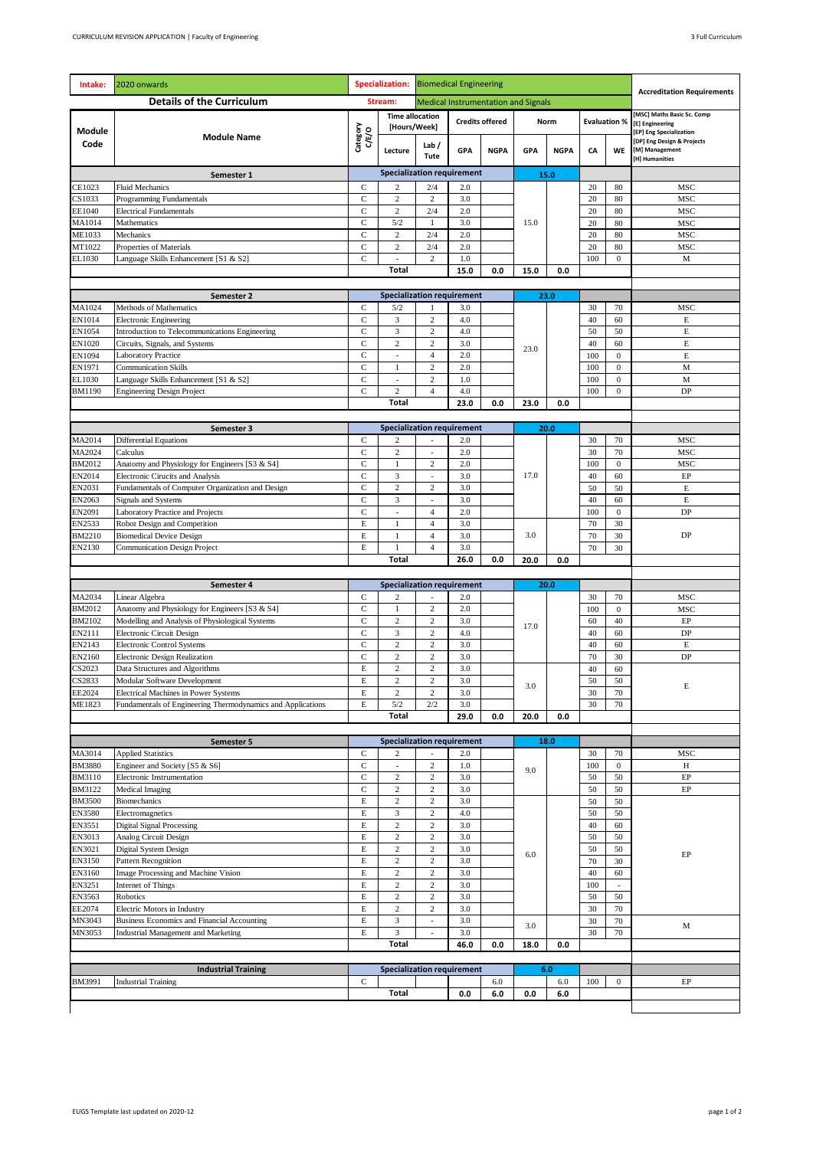| Intake:               | 2020 onwards                                                                       | <b>Specialization:</b>      |                                   | <b>Biomedical Engineering</b>                |                                          |                    |      |             |           |                      |                                                                                                              |  |
|-----------------------|------------------------------------------------------------------------------------|-----------------------------|-----------------------------------|----------------------------------------------|------------------------------------------|--------------------|------|-------------|-----------|----------------------|--------------------------------------------------------------------------------------------------------------|--|
|                       | <b>Details of the Curriculum</b>                                                   | Stream:                     |                                   | <b>Medical Instrumentation and Signals</b>   |                                          |                    |      |             |           |                      | <b>Accreditation Requirements</b>                                                                            |  |
|                       | <b>Module Name</b>                                                                 | Category<br>C/E/O           | <b>Time allocation</b>            |                                              | <b>Credits offered</b>                   |                    |      | Norm        |           | <b>Evaluation %</b>  | MSC Maths Basic Sc. Comp                                                                                     |  |
| <b>Module</b><br>Code |                                                                                    |                             | [Hours/Week]<br>Lecture           | Lab $/$<br>Tute                              | <b>GPA</b>                               | <b>NGPA</b>        | GPA  | <b>NGPA</b> | CA        | WE                   | [E] Engineering<br>[EP] Eng Specialization<br>[DP] Eng Design & Projects<br>[M] Management<br>[H] Humanities |  |
|                       | Semester 1                                                                         |                             |                                   |                                              | <b>Specialization requirement</b>        |                    | 15.0 |             |           |                      |                                                                                                              |  |
| CE1023                | <b>Fluid Mechanics</b>                                                             | $\mathbf C$                 | 2                                 | 2/4                                          | 2.0                                      |                    |      |             | 20        | 80                   | MSC                                                                                                          |  |
| CS1033                | Programming Fundamentals                                                           | $\mathbf C$                 | $\overline{c}$                    | $\mathbf{2}$                                 | 3.0                                      |                    |      |             | 20        | 80                   | <b>MSC</b>                                                                                                   |  |
| EE1040<br>MA1014      | <b>Electrical Fundamentals</b><br>Mathematics                                      | $\mathbf C$<br>$\mathbf C$  | $\overline{c}$<br>$5/2$           | 2/4<br>1                                     | 2.0<br>3.0                               |                    | 15.0 |             | 20<br>20  | 80<br>80             | MSC<br>MSC                                                                                                   |  |
| ME1033                | Mechanics                                                                          | $\mathsf{C}$                | $\overline{c}$                    | 2/4                                          | 2.0                                      |                    |      |             | 20        | 80                   | MSC                                                                                                          |  |
| MT1022                | Properties of Materials                                                            | $\mathbf C$                 | $\overline{c}$                    | 2/4                                          | 2.0                                      |                    |      |             | 20        | 80                   | <b>MSC</b>                                                                                                   |  |
| EL1030                | Language Skills Enhancement [S1 & S2]                                              | $\mathbf C$                 |                                   | $\overline{c}$                               | 1.0                                      |                    |      |             | 100       | $\mathbf{0}$         | M                                                                                                            |  |
|                       |                                                                                    |                             | Total                             |                                              | 15.0                                     | 0.0                | 15.0 | 0.0         |           |                      |                                                                                                              |  |
|                       | Semester 2                                                                         |                             |                                   | <b>Specialization requirement</b>            |                                          |                    | 23.0 |             |           |                      |                                                                                                              |  |
| MA1024                | Methods of Mathematics                                                             | $\mathbf C$                 | 5/2                               | $\mathbf{1}$                                 | 3.0                                      |                    |      |             | 30        | 70                   | MSC                                                                                                          |  |
| EN1014                | <b>Electronic Engineering</b>                                                      | $\mathbf C$                 | 3                                 | $\overline{c}$                               | 4.0                                      |                    |      |             | 40        | 60                   | E                                                                                                            |  |
| EN1054<br>EN1020      | Introduction to Telecommunications Engineering<br>Circuits, Signals, and Systems   | $\mathsf{C}$<br>$\mathbf C$ | 3<br>$\overline{c}$               | $\overline{c}$<br>$\overline{c}$             | 4.0<br>3.0                               |                    |      |             | 50<br>40  | 50<br>60             | E<br>E                                                                                                       |  |
| EN1094                | <b>Laboratory Practice</b>                                                         | $\mathsf{C}$                | ÷,                                | $\overline{4}$                               | 2.0                                      |                    | 23.0 |             | 100       | $\bf{0}$             | E                                                                                                            |  |
| EN1971                | <b>Communication Skills</b>                                                        | $\mathbf C$                 | 1                                 | $\overline{c}$                               | 2.0                                      |                    |      |             | 100       | $\boldsymbol{0}$     | $_{\rm M}$                                                                                                   |  |
| EL1030                | Language Skills Enhancement [S1 & S2]                                              | $\mathbf C$                 | $\overline{\phantom{a}}$          | $\mathbf{2}$                                 | 1.0                                      |                    |      |             | 100       | $\boldsymbol{0}$     | $_{\rm M}$                                                                                                   |  |
| BM1190                | <b>Engineering Design Project</b>                                                  | $\mathbf C$                 | $\overline{c}$<br><b>Total</b>    | $\overline{4}$                               | 4.0                                      |                    |      |             | 100       | $\boldsymbol{0}$     | DP                                                                                                           |  |
|                       |                                                                                    |                             |                                   |                                              | 23.0                                     | 23.0<br>0.0<br>0.0 |      |             |           |                      |                                                                                                              |  |
|                       | Semester 3                                                                         |                             | <b>Specialization requirement</b> |                                              |                                          |                    |      | 20.0        |           |                      |                                                                                                              |  |
| MA2014                | <b>Differential Equations</b>                                                      | C                           | 2                                 | $\overline{\phantom{a}}$                     | 2.0                                      |                    |      |             | 30        | 70                   | MSC                                                                                                          |  |
| MA2024                | Calculus                                                                           | $\mathbf C$                 | $\overline{c}$                    |                                              | 2.0                                      |                    |      |             | 30        | 70                   | MSC                                                                                                          |  |
| BM2012<br>EN2014      | Anatomy and Physiology for Engineers [S3 & S4]<br>Electronic Cirucits and Analysis | $\mathbf C$<br>$\mathbf C$  | $\mathbf{1}$<br>3                 | $\mathbf{2}$<br>$\qquad \qquad \blacksquare$ | 2.0<br>3.0                               |                    | 17.0 |             | 100<br>40 | $\overline{0}$<br>60 | <b>MSC</b><br>EP                                                                                             |  |
| EN2031                | Fundamentals of Computer Organization and Design                                   | $\mathbf C$                 | $\overline{c}$                    | $\overline{c}$                               | 3.0                                      |                    |      |             | 50        | 50                   | E                                                                                                            |  |
| EN2063                | Signals and Systems                                                                | $\mathbf C$                 | $\overline{3}$                    | $\overline{a}$                               | 3.0                                      |                    |      |             | 40        | 60                   | $\mathbf E$                                                                                                  |  |
| EN2091                | Laboratory Practice and Projects                                                   | $\mathbf C$                 | $\overline{\phantom{a}}$          | $\overline{4}$                               | 2.0                                      |                    |      |             | 100       | $\boldsymbol{0}$     | DP                                                                                                           |  |
| EN2533                | Robot Design and Competition                                                       | E                           | $\mathbf{1}$                      | $\overline{4}$                               | 3.0                                      |                    |      |             | 70        | 30                   |                                                                                                              |  |
| BM2210<br>EN2130      | <b>Biomedical Device Design</b><br><b>Communication Design Project</b>             | $\mathbf E$<br>E            | $\mathbf{1}$<br>1                 | $\overline{4}$<br>$\overline{4}$             | 3.0<br>3.0                               |                    | 3.0  |             | 70<br>70  | 30<br>30             | DP                                                                                                           |  |
|                       |                                                                                    |                             | Total                             |                                              | 26.0                                     | 0.0                | 20.0 | 0.0         |           |                      |                                                                                                              |  |
|                       |                                                                                    |                             |                                   |                                              |                                          |                    |      |             |           |                      |                                                                                                              |  |
|                       | Semester 4                                                                         |                             | <b>Specialization requirement</b> |                                              |                                          |                    |      | 20.0        |           |                      |                                                                                                              |  |
| MA2034<br>BM2012      | Linear Algebra<br>Anatomy and Physiology for Engineers [S3 & S4]                   | $\mathbf C$<br>$\mathsf{C}$ | 2<br>1                            | ÷,<br>$\mathbf{2}$                           | 2.0<br>2.0                               |                    |      |             | 30<br>100 | 70<br>$\bf{0}$       | MSC<br>MSC                                                                                                   |  |
| BM2102                | Modelling and Analysis of Physiological Systems                                    | $\mathbf C$                 | $\overline{c}$                    | $\overline{c}$                               | 3.0                                      |                    |      |             | 60        | 40                   | EP                                                                                                           |  |
| EN2111                | Electronic Circuit Design                                                          | $\mathbf C$                 | 3                                 | $\mathbf{2}$                                 | 4.0                                      |                    | 17.0 |             | 40        | 60                   | DP                                                                                                           |  |
| EN2143                | <b>Electronic Control Systems</b>                                                  | $\mathbf C$                 | $\overline{c}$                    | $\mathbf{2}$                                 | 3.0                                      |                    |      |             | 40        | 60                   | $\mathbf E$                                                                                                  |  |
| EN2160                | <b>Electronic Design Realization</b>                                               | $\mathsf{C}$<br>E           | $\overline{c}$<br>$\overline{c}$  | $\mathbf{2}$<br>$\overline{c}$               | 3.0                                      |                    |      |             | 70<br>40  | 30<br>60             | DP                                                                                                           |  |
| S2023<br>S2833        | Data Structures and Algorithms<br>Modular Software Development                     | E                           | $\overline{\mathbf{c}}$           | $\overline{\mathbf{c}}$                      | 3.0<br>$3.0\,$                           |                    |      |             | 50        | $50\,$               |                                                                                                              |  |
| EE2024                | Electrical Machines in Power Systems                                               | E                           | $\overline{c}$                    | $\mathbf{2}$                                 | 3.0                                      |                    | 3.0  |             | 30        | 70                   | E                                                                                                            |  |
| ME1823                | Fundamentals of Engineering Thermodynamics and Applications                        | E                           | $5/2$                             | 2/2                                          | 3.0                                      |                    |      |             | 30        | 70                   |                                                                                                              |  |
|                       |                                                                                    |                             | <b>Total</b>                      |                                              | 29.0                                     | 0.0                | 20.0 | 0.0         |           |                      |                                                                                                              |  |
|                       | Semester 5                                                                         |                             |                                   | <b>Specialization requirement</b>            |                                          | 18.0               |      |             |           |                      |                                                                                                              |  |
| MA3014                | <b>Applied Statistics</b>                                                          | $\mathbf C$                 | $\boldsymbol{2}$                  |                                              | 2.0                                      |                    |      |             | 30        | 70                   | MSC                                                                                                          |  |
| <b>BM3880</b>         | Engineer and Society [S5 & S6]                                                     | $\mathbf C$                 | $\overline{\phantom{a}}$          | $\,2$                                        | 1.0                                      |                    | 9.0  |             | 100       | $\bf{0}$             | H                                                                                                            |  |
| BM3110<br>BM3122      | Electronic Instrumentation                                                         | $\mathbf C$<br>$\mathbf C$  | $\sqrt{2}$<br>$\sqrt{2}$          | $\,2$<br>$\,2$                               | 3.0<br>3.0                               |                    |      |             | 50<br>50  | 50<br>50             | EP<br>EP                                                                                                     |  |
| <b>BM3500</b>         | <b>Medical Imaging</b><br><b>Biomechanics</b>                                      | Е                           | $\sqrt{2}$                        | $\,2$                                        | 3.0                                      |                    |      |             | 50        | 50                   |                                                                                                              |  |
| <b>EN3580</b>         | Electromagnetics                                                                   | $\mathbf E$                 | 3                                 | $\,2$                                        | 4.0                                      |                    |      |             | 50        | 50                   |                                                                                                              |  |
| EN3551                | <b>Digital Signal Processing</b>                                                   | $\mathbf E$                 | $\sqrt{2}$                        | $\,2$                                        | 3.0                                      |                    |      |             | 40        | 60                   |                                                                                                              |  |
| EN3013                | Analog Circuit Design                                                              | Е                           | $\boldsymbol{2}$                  | $\,2$                                        | 3.0                                      |                    |      |             | 50        | 50                   |                                                                                                              |  |
| EN3021<br>EN3150      | Digital System Design<br>Pattern Recognition                                       | $\mathbf E$<br>$\mathbf E$  | $\sqrt{2}$<br>$\sqrt{2}$          | $\,2$<br>$\,2$                               | 3.0<br>3.0                               |                    | 6.0  |             | 50<br>70  | 50<br>30             | EP                                                                                                           |  |
| EN3160                | Image Processing and Machine Vision                                                | Е                           | $\sqrt{2}$                        | $\,2$                                        | 3.0                                      |                    |      |             | 40        | 60                   |                                                                                                              |  |
| EN3251                | <b>Internet of Things</b>                                                          | E                           | $\sqrt{2}$                        | $\,2$                                        | 3.0                                      |                    |      |             | 100       |                      |                                                                                                              |  |
| EN3563                | Robotics                                                                           | Е                           | $\sqrt{2}$                        | $\,2$                                        | 3.0                                      |                    |      |             | 50        | 50                   |                                                                                                              |  |
| EE2074<br>MN3043      | Electric Motors in Industry<br>Business Economics and Financial Accounting         | Е<br>E                      | $\sqrt{2}$<br>3                   | $\,2$<br>÷,                                  | 3.0<br>3.0                               |                    |      |             | 30<br>30  | 70<br>70             |                                                                                                              |  |
| MN3053                | Industrial Management and Marketing                                                | $\mathbf E$                 | $\mathfrak z$                     | $\overline{a}$                               | 3.0                                      |                    | 3.0  |             | 30        | 70                   | М                                                                                                            |  |
|                       |                                                                                    |                             | Total                             |                                              | 46.0                                     | 0.0                | 18.0 | 0.0         |           |                      |                                                                                                              |  |
|                       |                                                                                    |                             |                                   |                                              |                                          |                    |      |             |           |                      |                                                                                                              |  |
| BM3991                | <b>Industrial Training</b><br><b>Industrial Training</b>                           | $\mathbf C$                 |                                   |                                              | <b>Specialization requirement</b><br>6.0 |                    |      | 6.0<br>6.0  | 100       | $\boldsymbol{0}$     | EP                                                                                                           |  |
|                       |                                                                                    |                             | Total                             |                                              | 0.0                                      | 6.0                | 0.0  | 6.0         |           |                      |                                                                                                              |  |
|                       |                                                                                    |                             |                                   |                                              |                                          |                    |      |             |           |                      |                                                                                                              |  |